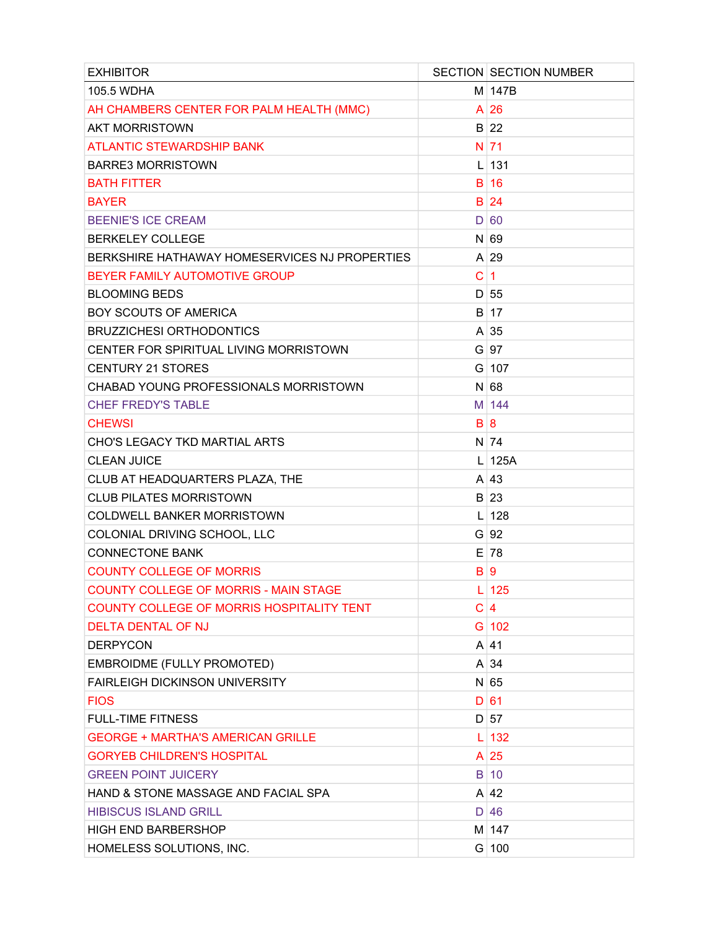| <b>EXHIBITOR</b>                                 |              | <b>SECTION SECTION NUMBER</b> |
|--------------------------------------------------|--------------|-------------------------------|
| 105.5 WDHA                                       |              | $M$ 147B                      |
| AH CHAMBERS CENTER FOR PALM HEALTH (MMC)         |              | $A$ 26                        |
| <b>AKT MORRISTOWN</b>                            |              | $B$ 22                        |
| <b>ATLANTIC STEWARDSHIP BANK</b>                 |              | N 71                          |
| <b>BARRE3 MORRISTOWN</b>                         |              | $L$ 131                       |
| <b>BATH FITTER</b>                               |              | B 16                          |
| <b>BAYER</b>                                     |              | <b>B</b> 24                   |
| <b>BEENIE'S ICE CREAM</b>                        |              | D 60                          |
| <b>BERKELEY COLLEGE</b>                          |              | $N$ 69                        |
| BERKSHIRE HATHAWAY HOMESERVICES NJ PROPERTIES    |              | $A$ 29                        |
| BEYER FAMILY AUTOMOTIVE GROUP                    | C            | $\blacktriangleleft$          |
| <b>BLOOMING BEDS</b>                             |              | D 55                          |
| <b>BOY SCOUTS OF AMERICA</b>                     |              | B 17                          |
| <b>BRUZZICHESI ORTHODONTICS</b>                  |              | $A \mid 35$                   |
| CENTER FOR SPIRITUAL LIVING MORRISTOWN           |              | $G$ 97                        |
| <b>CENTURY 21 STORES</b>                         |              | $G$ 107                       |
| CHABAD YOUNG PROFESSIONALS MORRISTOWN            |              | $N$ 68                        |
| <b>CHEF FREDY'S TABLE</b>                        |              | M 144                         |
| <b>CHEWSI</b>                                    |              | B 8                           |
| CHO'S LEGACY TKD MARTIAL ARTS                    |              | $N$ 74                        |
| <b>CLEAN JUICE</b>                               |              | $L$ 125A                      |
| CLUB AT HEADQUARTERS PLAZA, THE                  |              | A 43                          |
| <b>CLUB PILATES MORRISTOWN</b>                   |              | $B$ 23                        |
| <b>COLDWELL BANKER MORRISTOWN</b>                |              | $L$ 128                       |
| COLONIAL DRIVING SCHOOL, LLC                     |              | $G$ 92                        |
| <b>CONNECTONE BANK</b>                           |              | $E$ 78                        |
| <b>COUNTY COLLEGE OF MORRIS</b>                  | $\mathsf{B}$ | <u>g</u>                      |
| <b>COUNTY COLLEGE OF MORRIS - MAIN STAGE</b>     |              | $L$ 125                       |
| <b>COUNTY COLLEGE OF MORRIS HOSPITALITY TENT</b> | C            | $\overline{4}$                |
| <b>DELTA DENTAL OF NJ</b>                        |              | $G$ 102                       |
| <b>DERPYCON</b>                                  |              | $A$ 41                        |
| EMBROIDME (FULLY PROMOTED)                       |              | $A \mid 34$                   |
| <b>FAIRLEIGH DICKINSON UNIVERSITY</b>            |              | $N$ 65                        |
| <b>FIOS</b>                                      |              | D 61                          |
| <b>FULL-TIME FITNESS</b>                         |              | D 57                          |
| <b>GEORGE + MARTHA'S AMERICAN GRILLE</b>         |              | 132                           |
| <b>GORYEB CHILDREN'S HOSPITAL</b>                |              | $A$ 25                        |
| <b>GREEN POINT JUICERY</b>                       |              | $B$ 10                        |
| HAND & STONE MASSAGE AND FACIAL SPA              |              | $A$ 42                        |
| <b>HIBISCUS ISLAND GRILL</b>                     |              | D 46                          |
| <b>HIGH END BARBERSHOP</b>                       |              | M 147                         |
| HOMELESS SOLUTIONS, INC.                         |              | $G$ 100                       |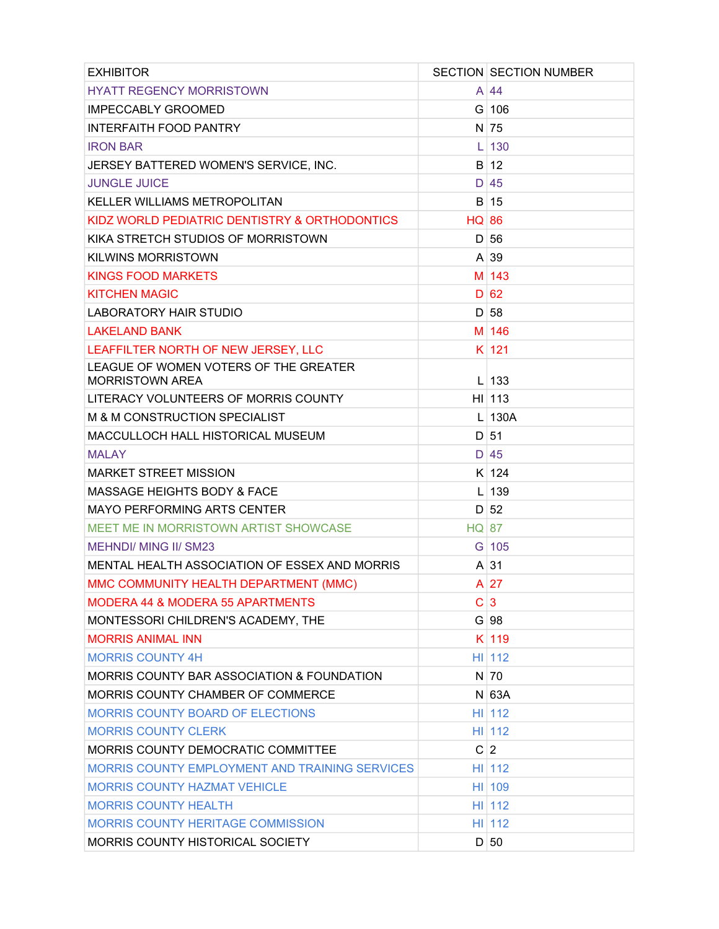| <b>EXHIBITOR</b>                                                |              | <b>SECTION SECTION NUMBER</b> |
|-----------------------------------------------------------------|--------------|-------------------------------|
| <b>HYATT REGENCY MORRISTOWN</b>                                 |              | $A \mid 44$                   |
| <b>IMPECCABLY GROOMED</b>                                       |              | $G$ 106                       |
| <b>INTERFAITH FOOD PANTRY</b>                                   |              | N 75                          |
| <b>IRON BAR</b>                                                 | L            | 130                           |
| JERSEY BATTERED WOMEN'S SERVICE, INC.                           |              | $B$ 12                        |
| <b>JUNGLE JUICE</b>                                             |              | D 45                          |
| <b>KELLER WILLIAMS METROPOLITAN</b>                             |              | B 15                          |
| KIDZ WORLD PEDIATRIC DENTISTRY & ORTHODONTICS                   | <b>HQ 86</b> |                               |
| KIKA STRETCH STUDIOS OF MORRISTOWN                              |              | D 56                          |
| <b>KILWINS MORRISTOWN</b>                                       |              | $A \mid 39$                   |
| KINGS FOOD MARKETS                                              |              | $M$ 143                       |
| <b>KITCHEN MAGIC</b>                                            |              | D 62                          |
| <b>LABORATORY HAIR STUDIO</b>                                   |              | D 58                          |
| <b>LAKELAND BANK</b>                                            |              | M 146                         |
| LEAFFILTER NORTH OF NEW JERSEY, LLC                             |              | $K$ 121                       |
| LEAGUE OF WOMEN VOTERS OF THE GREATER<br><b>MORRISTOWN AREA</b> |              | $L$ 133                       |
| LITERACY VOLUNTEERS OF MORRIS COUNTY                            |              | $H1$   113                    |
| M & M CONSTRUCTION SPECIALIST                                   |              | $L$   130A                    |
| MACCULLOCH HALL HISTORICAL MUSEUM                               |              | $D$ 51                        |
| <b>MALAY</b>                                                    |              | $D$ 45                        |
| <b>MARKET STREET MISSION</b>                                    |              | K 124                         |
| <b>MASSAGE HEIGHTS BODY &amp; FACE</b>                          |              | $L$ 139                       |
| <b>MAYO PERFORMING ARTS CENTER</b>                              |              | D 52                          |
| MEET ME IN MORRISTOWN ARTIST SHOWCASE                           | <b>HQ 87</b> |                               |
| <b>MEHNDI/ MING II/ SM23</b>                                    |              | G 105                         |
| MENTAL HEALTH ASSOCIATION OF ESSEX AND MORRIS                   |              | $A \mid 31$                   |
| MMC COMMUNITY HEALTH DEPARTMENT (MMC)                           |              | $A$ 27                        |
| <b>MODERA 44 &amp; MODERA 55 APARTMENTS</b>                     | C            | $\overline{3}$                |
| MONTESSORI CHILDREN'S ACADEMY, THE                              |              | G 98                          |
| <b>MORRIS ANIMAL INN</b>                                        |              | K 119                         |
| <b>MORRIS COUNTY 4H</b>                                         |              | H1112                         |
| MORRIS COUNTY BAR ASSOCIATION & FOUNDATION                      |              | $N$ 70                        |
| MORRIS COUNTY CHAMBER OF COMMERCE                               |              | $N$ 63A                       |
| <b>MORRIS COUNTY BOARD OF ELECTIONS</b>                         |              | H1112                         |
| <b>MORRIS COUNTY CLERK</b>                                      |              | HI 112                        |
| MORRIS COUNTY DEMOCRATIC COMMITTEE                              |              | C 2                           |
| MORRIS COUNTY EMPLOYMENT AND TRAINING SERVICES                  |              | H1112                         |
| <b>MORRIS COUNTY HAZMAT VEHICLE</b>                             |              | HI 109                        |
| <b>MORRIS COUNTY HEALTH</b>                                     |              | HI 112                        |
| <b>MORRIS COUNTY HERITAGE COMMISSION</b>                        |              | HI 112                        |
| MORRIS COUNTY HISTORICAL SOCIETY                                |              | D 50                          |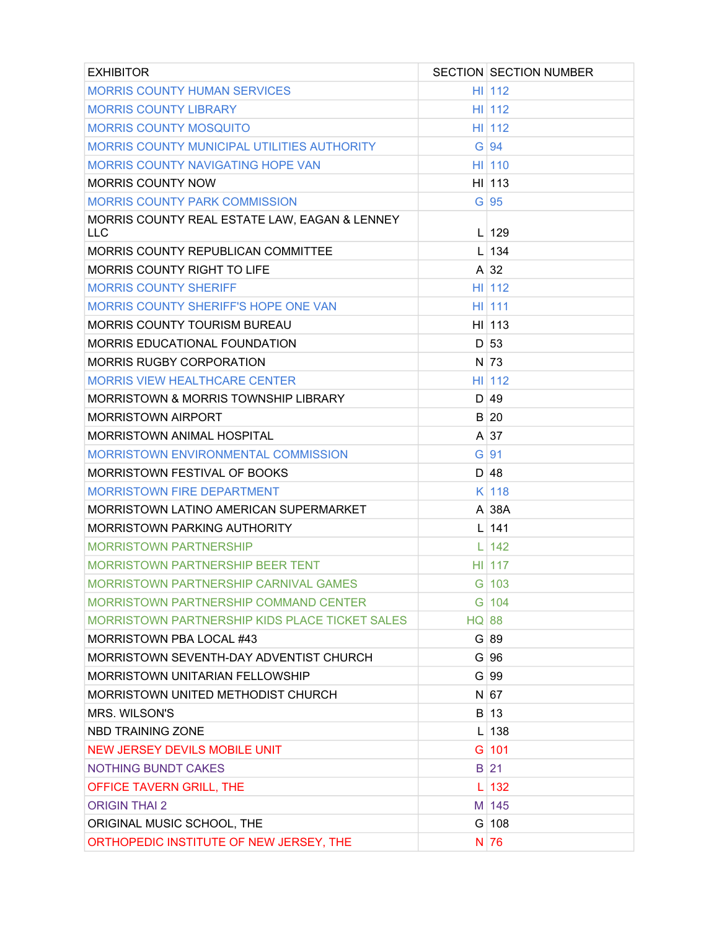| <b>EXHIBITOR</b>                                      |              | <b>SECTION SECTION NUMBER</b> |
|-------------------------------------------------------|--------------|-------------------------------|
| <b>MORRIS COUNTY HUMAN SERVICES</b>                   |              | H1112                         |
| <b>MORRIS COUNTY LIBRARY</b>                          |              | H1112                         |
| <b>MORRIS COUNTY MOSQUITO</b>                         |              | H1112                         |
| MORRIS COUNTY MUNICIPAL UTILITIES AUTHORITY           |              | $G$ 94                        |
| <b>MORRIS COUNTY NAVIGATING HOPE VAN</b>              |              | $HII$ 110                     |
| <b>MORRIS COUNTY NOW</b>                              |              | $H1$   113                    |
| <b>MORRIS COUNTY PARK COMMISSION</b>                  |              | $G$ 95                        |
| MORRIS COUNTY REAL ESTATE LAW, EAGAN & LENNEY<br>LLC. |              | $L$ 129                       |
| MORRIS COUNTY REPUBLICAN COMMITTEE                    |              | $L$ 134                       |
| <b>MORRIS COUNTY RIGHT TO LIFE</b>                    |              | $A \mid 32$                   |
| <b>MORRIS COUNTY SHERIFF</b>                          |              | H1112                         |
| <b>MORRIS COUNTY SHERIFF'S HOPE ONE VAN</b>           |              | H1111                         |
| <b>MORRIS COUNTY TOURISM BUREAU</b>                   |              | $HII$ 113                     |
| MORRIS EDUCATIONAL FOUNDATION                         |              | D 53                          |
| <b>MORRIS RUGBY CORPORATION</b>                       |              | $N$ 73                        |
| <b>MORRIS VIEW HEALTHCARE CENTER</b>                  |              | H1112                         |
| <b>MORRISTOWN &amp; MORRIS TOWNSHIP LIBRARY</b>       |              | D 49                          |
| <b>MORRISTOWN AIRPORT</b>                             |              | B 20                          |
| <b>MORRISTOWN ANIMAL HOSPITAL</b>                     |              | $A \mid 37$                   |
| MORRISTOWN ENVIRONMENTAL COMMISSION                   |              | $G$ 91                        |
| MORRISTOWN FESTIVAL OF BOOKS                          |              | D 48                          |
| <b>MORRISTOWN FIRE DEPARTMENT</b>                     |              | $K$ 118                       |
| MORRISTOWN LATINO AMERICAN SUPERMARKET                |              | $A$ 38A                       |
| <b>MORRISTOWN PARKING AUTHORITY</b>                   |              | $L$ 141                       |
| <b>MORRISTOWN PARTNERSHIP</b>                         | L            | 142                           |
| <b>MORRISTOWN PARTNERSHIP BEER TENT</b>               |              | $HII$ 117                     |
| MORRISTOWN PARTNERSHIP CARNIVAL GAMES                 |              | $G$ 103                       |
| <b>MORRISTOWN PARTNERSHIP COMMAND CENTER</b>          |              | G 104                         |
| <b>MORRISTOWN PARTNERSHIP KIDS PLACE TICKET SALES</b> | <b>HQ 88</b> |                               |
| MORRISTOWN PBA LOCAL #43                              |              | G 89                          |
| MORRISTOWN SEVENTH-DAY ADVENTIST CHURCH               |              | G 96                          |
| <b>MORRISTOWN UNITARIAN FELLOWSHIP</b>                |              | G 99                          |
| MORRISTOWN UNITED METHODIST CHURCH                    |              | N 67                          |
| MRS. WILSON'S                                         |              | B 13                          |
| NBD TRAINING ZONE                                     | L            | 138                           |
| <b>NEW JERSEY DEVILS MOBILE UNIT</b>                  |              | $G$ 101                       |
| <b>NOTHING BUNDT CAKES</b>                            |              | $B$ 21                        |
| OFFICE TAVERN GRILL, THE                              |              | 132                           |
| <b>ORIGIN THAI 2</b>                                  |              | M 145                         |
| ORIGINAL MUSIC SCHOOL, THE                            |              | $G$ 108                       |
| ORTHOPEDIC INSTITUTE OF NEW JERSEY, THE               |              | N 76                          |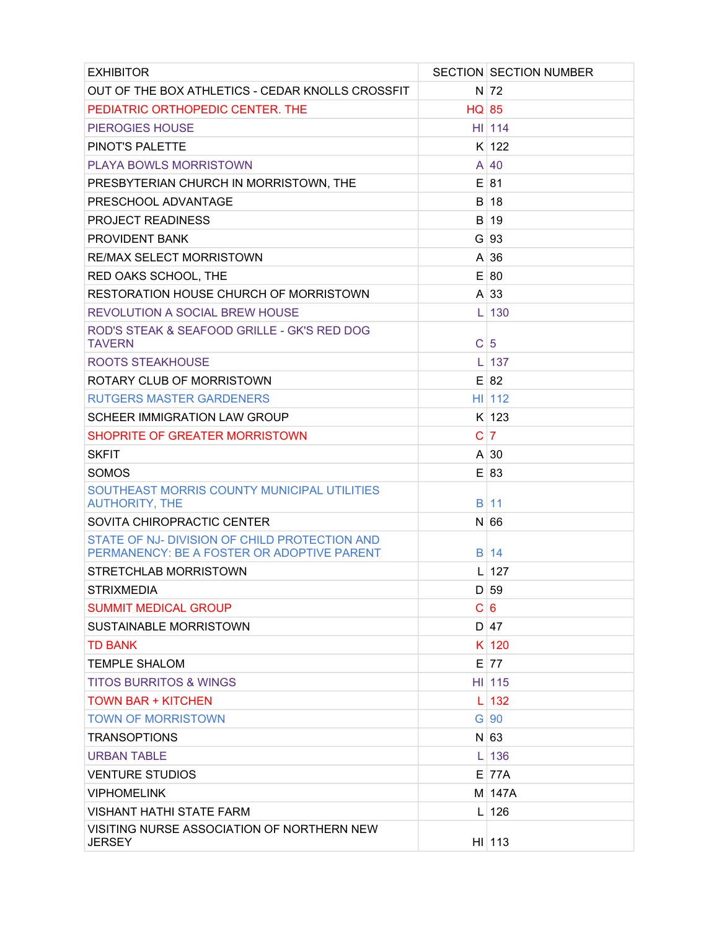| <b>EXHIBITOR</b>                                                                            |              | <b>SECTION SECTION NUMBER</b> |
|---------------------------------------------------------------------------------------------|--------------|-------------------------------|
| OUT OF THE BOX ATHLETICS - CEDAR KNOLLS CROSSFIT                                            |              | $N$ 72                        |
| PEDIATRIC ORTHOPEDIC CENTER. THE                                                            | <b>HQ 85</b> |                               |
| <b>PIEROGIES HOUSE</b>                                                                      |              | $HII$ 114                     |
| PINOT'S PALETTE                                                                             |              | $K$ 122                       |
| <b>PLAYA BOWLS MORRISTOWN</b>                                                               |              | A 40                          |
| PRESBYTERIAN CHURCH IN MORRISTOWN, THE                                                      |              | $E$ 81                        |
| PRESCHOOL ADVANTAGE                                                                         |              | B 18                          |
| <b>PROJECT READINESS</b>                                                                    |              | B 19                          |
| <b>PROVIDENT BANK</b>                                                                       |              | $G$ 93                        |
| <b>RE/MAX SELECT MORRISTOWN</b>                                                             |              | $A \mid 36$                   |
| RED OAKS SCHOOL, THE                                                                        |              | E 80                          |
| RESTORATION HOUSE CHURCH OF MORRISTOWN                                                      |              | $A \mid 33$                   |
| <b>REVOLUTION A SOCIAL BREW HOUSE</b>                                                       | I.           | 130                           |
| ROD'S STEAK & SEAFOOD GRILLE - GK'S RED DOG<br><b>TAVERN</b>                                | $\mathsf{C}$ | 5                             |
| ROOTS STEAKHOUSE                                                                            | L            | 137                           |
| ROTARY CLUB OF MORRISTOWN                                                                   |              | $E$ 82                        |
| <b>RUTGERS MASTER GARDENERS</b>                                                             |              | H1112                         |
| <b>SCHEER IMMIGRATION LAW GROUP</b>                                                         |              | $K$ 123                       |
| SHOPRITE OF GREATER MORRISTOWN                                                              | C            | $\overline{7}$                |
| <b>SKFIT</b>                                                                                |              | $A \mid 30$                   |
| <b>SOMOS</b>                                                                                |              | E 83                          |
| SOUTHEAST MORRIS COUNTY MUNICIPAL UTILITIES<br><b>AUTHORITY, THE</b>                        |              | $B$ 11                        |
| SOVITA CHIROPRACTIC CENTER                                                                  |              | N 66                          |
| STATE OF NJ- DIVISION OF CHILD PROTECTION AND<br>PERMANENCY: BE A FOSTER OR ADOPTIVE PARENT |              | B 14                          |
| STRETCHLAB MORRISTOWN                                                                       |              | $L$ 127                       |
| <b>STRIXMEDIA</b>                                                                           |              | D 59                          |
| <b>SUMMIT MEDICAL GROUP</b>                                                                 |              | C 6                           |
| <b>SUSTAINABLE MORRISTOWN</b>                                                               |              | D 47                          |
| <b>TD BANK</b>                                                                              |              | K 120                         |
| TEMPLE SHALOM                                                                               |              | $E$ 77                        |
| TITOS BURRITOS & WINGS                                                                      |              | $HII$ 115                     |
| <b>TOWN BAR + KITCHEN</b>                                                                   | L            | 132                           |
| <b>TOWN OF MORRISTOWN</b>                                                                   |              | $G$ 90                        |
| <b>TRANSOPTIONS</b>                                                                         |              | $N$ 63                        |
| <b>URBAN TABLE</b>                                                                          | I.           | 136                           |
| <b>VENTURE STUDIOS</b>                                                                      |              | E 77A                         |
| <b>VIPHOMELINK</b>                                                                          |              | M 147A                        |
| VISHANT HATHI STATE FARM                                                                    |              | $L$ 126                       |
| VISITING NURSE ASSOCIATION OF NORTHERN NEW<br><b>JERSEY</b>                                 |              | H1113                         |